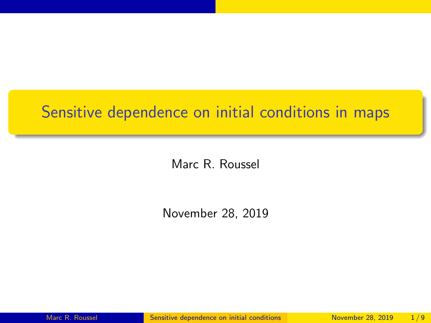#### <span id="page-0-0"></span>Sensitive dependence on initial conditions in maps

Marc R. Roussel

November 28, 2019

Marc R. Roussel [Sensitive dependence on initial conditions](#page-8-0) November 28, 2019 1/9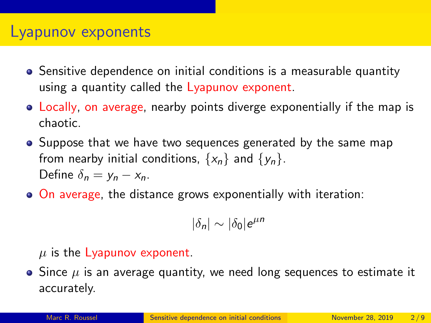#### Lyapunov exponents

- Sensitive dependence on initial conditions is a measurable quantity using a quantity called the Lyapunov exponent.
- Locally, on average, nearby points diverge exponentially if the map is chaotic.
- Suppose that we have two sequences generated by the same map from nearby initial conditions,  $\{x_n\}$  and  $\{y_n\}$ . Define  $\delta_n = v_n - x_n$ .
- On average, the distance grows exponentially with iteration:

$$
|\delta_n|\sim |\delta_0|e^{\mu n}
$$

#### $\mu$  is the Lyapunov exponent.

 $\bullet$  Since  $\mu$  is an average quantity, we need long sequences to estimate it accurately.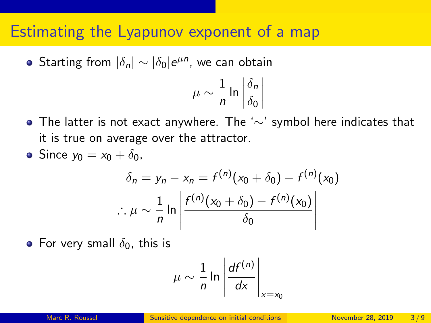#### Estimating the Lyapunov exponent of a map

Starting from  $|\delta_n| \sim |\delta_0| e^{\mu n}$ , we can obtain

$$
\mu \sim \frac{1}{n} \ln \left| \frac{\delta_n}{\delta_0} \right|
$$

- The latter is not exact anywhere. The '∼' symbol here indicates that it is true on average over the attractor.
- Since  $y_0 = x_0 + \delta_0$ ,

$$
\delta_n = y_n - x_n = f^{(n)}(x_0 + \delta_0) - f^{(n)}(x_0)
$$

$$
\therefore \mu \sim \frac{1}{n} \ln \left| \frac{f^{(n)}(x_0 + \delta_0) - f^{(n)}(x_0)}{\delta_0} \right|
$$

• For very small  $\delta_0$ , this is

$$
\mu \sim \frac{1}{n} \ln \left| \frac{df^{(n)}}{dx} \right|_{x=x_0}
$$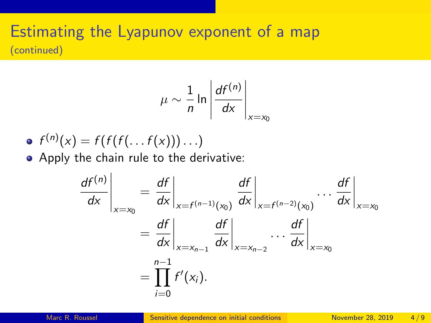#### Estimating the Lyapunov exponent of a map (continued)

$$
\mu \sim \frac{1}{n} \ln \left| \frac{df^{(n)}}{dx} \right|_{x=x_0}
$$

$$
\bullet \ f^{(n)}(x) = f(f(f(\ldots f(x)))\ldots)
$$

Apply the chain rule to the derivative:

$$
\left. \frac{df^{(n)}}{dx} \right|_{x=x_0} = \left. \frac{df}{dx} \right|_{x=f^{(n-1)}(x_0)} \left. \frac{df}{dx} \right|_{x=f^{(n-2)}(x_0)} \cdots \left. \frac{df}{dx} \right|_{x=x_0}
$$
\n
$$
= \left. \frac{df}{dx} \right|_{x=x_{n-1}} \left. \frac{df}{dx} \right|_{x=x_{n-2}} \cdots \left. \frac{df}{dx} \right|_{x=x_0}
$$
\n
$$
= \prod_{i=0}^{n-1} f'(x_i).
$$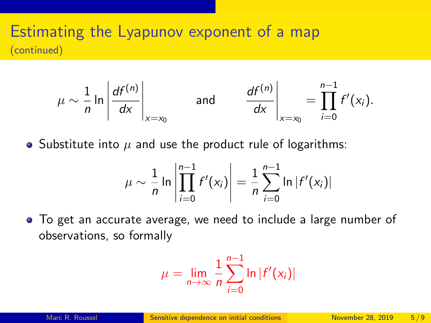#### Estimating the Lyapunov exponent of a map (continued)

$$
\mu \sim \frac{1}{n} \ln \left| \frac{df^{(n)}}{dx} \right|_{x=x_0} \quad \text{and} \quad \frac{df^{(n)}}{dx} \right|_{x=x_0} = \prod_{i=0}^{n-1} f'(x_i).
$$

• Substitute into  $\mu$  and use the product rule of logarithms:

$$
\mu \sim \frac{1}{n} \ln \left| \prod_{i=0}^{n-1} f'(x_i) \right| = \frac{1}{n} \sum_{i=0}^{n-1} \ln |f'(x_i)|
$$

To get an accurate average, we need to include a large number of observations, so formally

$$
\mu = \lim_{n \to \infty} \frac{1}{n} \sum_{i=0}^{n-1} \ln |f'(x_i)|
$$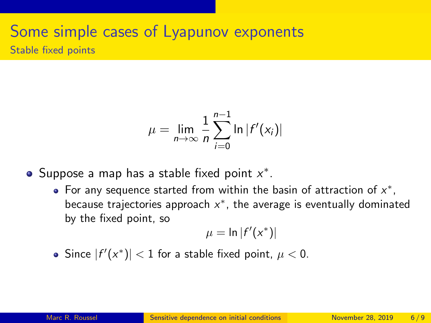# Some simple cases of Lyapunov exponents

Stable fixed points

$$
\mu = \lim_{n \to \infty} \frac{1}{n} \sum_{i=0}^{n-1} \ln |f'(x_i)|
$$

Suppose a map has a stable fixed point  $x^*$ .

For any sequence started from within the basin of attraction of  $x^*$ , because trajectories approach  $x^*$ , the average is eventually dominated by the fixed point, so

$$
\mu = \ln |f'(x^*)|
$$

Since  $|f'(x^*)| < 1$  for a stable fixed point,  $\mu < 0$ .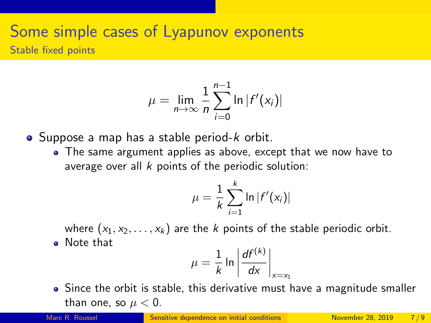## Some simple cases of Lyapunov exponents

Stable fixed points

$$
\mu = \lim_{n \to \infty} \frac{1}{n} \sum_{i=0}^{n-1} \ln |f'(x_i)|
$$

- $\bullet$  Suppose a map has a stable period-k orbit.
	- The same argument applies as above, except that we now have to average over all  $k$  points of the periodic solution:

$$
\mu = \frac{1}{k} \sum_{i=1}^k \ln |f'(x_i)|
$$

where  $(x_1, x_2, \ldots, x_k)$  are the k points of the stable periodic orbit. • Note that

$$
\mu = \frac{1}{k} \ln \left| \frac{df^{(k)}}{dx} \right|_{x=x_1}
$$

• Since the orbit is stable, this derivative must have a magnitude smaller than one, so  $\mu < 0$ .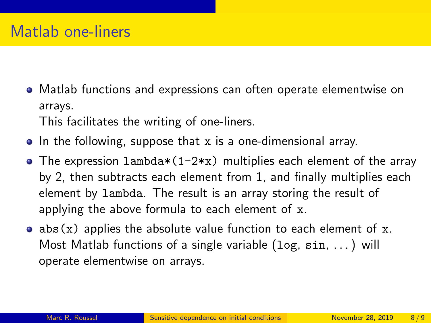- Matlab functions and expressions can often operate elementwise on arrays. This facilitates the writing of one-liners.
- In the following, suppose that x is a one-dimensional array.
- The expression lambda $*(1-2*x)$  multiplies each element of the array by 2, then subtracts each element from 1, and finally multiplies each element by lambda. The result is an array storing the result of applying the above formula to each element of x.
- abs  $(x)$  applies the absolute value function to each element of x. Most Matlab functions of a single variable (log, sin, . . . ) will operate elementwise on arrays.